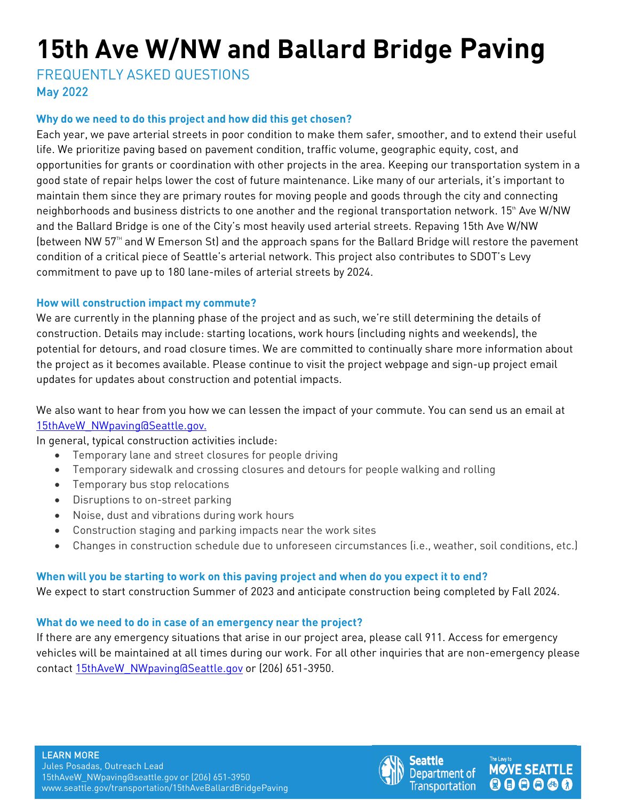# **15th Ave W/NW and Ballard Bridge Paving**

FREQUENTLY ASKED QUESTIONS May 2022

# **Why do we need to do this project and how did this get chosen?**

Each year, we pave arterial streets in poor condition to make them safer, smoother, and to extend their useful life. We prioritize paving based on pavement condition, traffic volume, geographic equity, cost, and opportunities for grants or coordination with other projects in the area. Keeping our transportation system in a good state of repair helps lower the cost of future maintenance. Like many of our arterials, it's important to maintain them since they are primary routes for moving people and goods through the city and connecting neighborhoods and business districts to one another and the regional transportation network. 15<sup>th</sup> Ave W/NW and the Ballard Bridge is one of the City's most heavily used arterial streets. Repaving 15th Ave W/NW (between NW  $57<sup>th</sup>$  and W Emerson St) and the approach spans for the Ballard Bridge will restore the pavement condition of a critical piece of Seattle's arterial network. This project also contributes to SDOT's Levy commitment to pave up to 180 lane-miles of arterial streets by 2024.

# **How will construction impact my commute?**

We are currently in the planning phase of the project and as such, we're still determining the details of construction. Details may include: starting locations, work hours (including nights and weekends), the potential for detours, and road closure times. We are committed to continually share more information about the project as it becomes available. Please continue to visit the project webpage and sign-up project email updates for updates about construction and potential impacts.

We also want to hear from you how we can lessen the impact of your commute. You can send us an email at [15thAveW\\_NWpaving@Seattle.gov.](mailto:15thAveW_NWpaving@Seattle.gov.)

In general, typical construction activities include:

- Temporary lane and street closures for people driving
- Temporary sidewalk and crossing closures and detours for people walking and rolling
- Temporary bus stop relocations
- Disruptions to on-street parking
- Noise, dust and vibrations during work hours
- Construction staging and parking impacts near the work sites
- Changes in construction schedule due to unforeseen circumstances (i.e., weather, soil conditions, etc.)

# **When will you be starting to work on this paving project and when do you expect it to end?**

We expect to start construction Summer of 2023 and anticipate construction being completed by Fall 2024.

## **What do we need to do in case of an emergency near the project?**

If there are any emergency situations that arise in our project area, please call 911. Access for emergency vehicles will be maintained at all times during our work. For all other inquiries that are non-emergency please contact [15thAveW\\_NWpaving@Seattle.gov](mailto:15thAveW_NWpaving@Seattle.gov) or (206) 651-3950.



**MOVE SEATTLE** 

000000